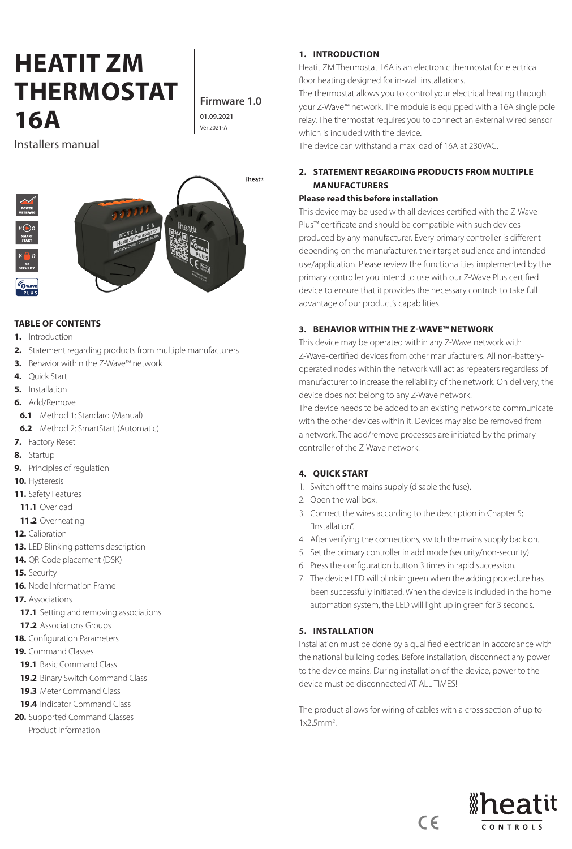# **HEATIT ZM THERMOSTAT 16A**  $\begin{array}{|c|c|c|}\n\hline\n\text{01.09.202}\n\end{array}$

**Firmware 1.0 01.09.2021**

Installers manual



#### **TABLE OF CONTENTS**

- **1.** Introduction
- **2.** Statement regarding products from multiple manufacturers
- **3.** Behavior within the Z-Wave™ network
- **4.** Quick Start
- **5.** Installation
- **6.** Add/Remove
- **6.1** Method 1: Standard (Manual)
- **6.2** Method 2: SmartStart (Automatic)
- **7.** Factory Reset
- **8.** Startup
- **9.** Principles of regulation
- **10.** Hysteresis
- **11.** Safety Features
- **11.1** Overload
- **11.2** Overheating
- **12.** Calibration
- **13.** LED Blinking patterns description
- **14.** QR-Code placement (DSK)
- **15.** Security
- **16.** Node Information Frame
- **17.** Associations
- **17.1** Setting and removing associations
- **17.2** Associations Groups
- **18.** Configuration Parameters
- **19.** Command Classes
- **19.1** Basic Command Class
- **19.2** Binary Switch Command Class
- **19.3** Meter Command Class
- **19.4** Indicator Command Class
- **20.** Supported Command Classes Product Information

#### **1. INTRODUCTION**

Heatit ZM Thermostat 16A is an electronic thermostat for electrical floor heating designed for in-wall installations.

The thermostat allows you to control your electrical heating through your Z-Wave™ network. The module is equipped with a 16A single pole relay. The thermostat requires you to connect an external wired sensor which is included with the device.

The device can withstand a max load of 16A at 230VAC.

# **2. STATEMENT REGARDING PRODUCTS FROM MULTIPLE MANUFACTURERS**

#### **Please read this before installation**

This device may be used with all devices certified with the Z-Wave Plus™ certificate and should be compatible with such devices produced by any manufacturer. Every primary controller is different depending on the manufacturer, their target audience and intended use/application. Please review the functionalities implemented by the primary controller you intend to use with our Z-Wave Plus certified device to ensure that it provides the necessary controls to take full advantage of our product's capabilities.

#### **3. BEHAVIOR WITHIN THE Z-WAVE™ NETWORK**

This device may be operated within any Z-Wave network with Z-Wave-certified devices from other manufacturers. All non-batteryoperated nodes within the network will act as repeaters regardless of manufacturer to increase the reliability of the network. On delivery, the device does not belong to any Z-Wave network.

The device needs to be added to an existing network to communicate with the other devices within it. Devices may also be removed from a network. The add/remove processes are initiated by the primary controller of the Z-Wave network.

#### **4. QUICK START**

- 1. Switch off the mains supply (disable the fuse).
- 2. Open the wall box.
- 3. Connect the wires according to the description in Chapter 5; "Installation".
- 4. After verifying the connections, switch the mains supply back on.
- 5. Set the primary controller in add mode (security/non-security).
- 6. Press the configuration button 3 times in rapid succession.
- 7. The device LED will blink in green when the adding procedure has been successfully initiated. When the device is included in the home automation system, the LED will light up in green for 3 seconds.

# **5. INSTALLATION**

Installation must be done by a qualified electrician in accordance with the national building codes. Before installation, disconnect any power to the device mains. During installation of the device, power to the device must be disconnected AT ALL TIMES!

The product allows for wiring of cables with a cross section of up to  $1x2.5mm<sup>2</sup>$ .

 $C \in$ 

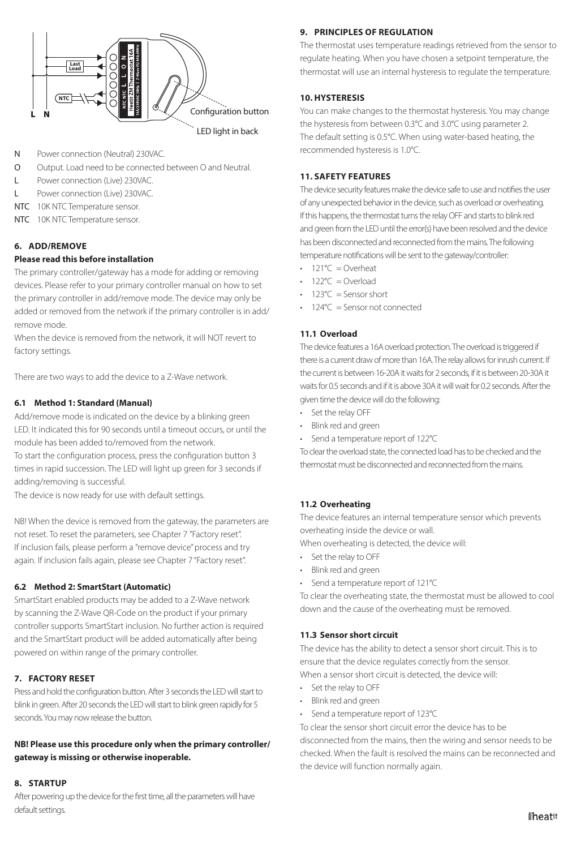

- N Power connection (Neutral) 230VAC.
- O Output. Load need to be connected between O and Neutral.
- L Power connection (Live) 230VAC.
- L Power connection (Live) 230VAC.
- NTC 10K NTC Temperature sensor.
- NTC 10K NTC Temperature sensor.

# **6. ADD/REMOVE**

# **Please read this before installation**

The primary controller/gateway has a mode for adding or removing devices. Please refer to your primary controller manual on how to set the primary controller in add/remove mode. The device may only be added or removed from the network if the primary controller is in add/ remove mode.

When the device is removed from the network, it will NOT revert to factory settings.

There are two ways to add the device to a Z-Wave network.

# **6.1 Method 1: Standard (Manual)**

Add/remove mode is indicated on the device by a blinking green LED. It indicated this for 90 seconds until a timeout occurs, or until the module has been added to/removed from the network.

To start the configuration process, press the configuration button 3 times in rapid succession. The LED will light up green for 3 seconds if adding/removing is successful.

The device is now ready for use with default settings.

NB! When the device is removed from the gateway, the parameters are not reset. To reset the parameters, see Chapter 7 "Factory reset". If inclusion fails, please perform a "remove device" process and try again. If inclusion fails again, please see Chapter 7 "Factory reset".

# **6.2 Method 2: SmartStart (Automatic)**

SmartStart enabled products may be added to a Z-Wave network by scanning the Z-Wave QR-Code on the product if your primary controller supports SmartStart inclusion. No further action is required and the SmartStart product will be added automatically after being powered on within range of the primary controller.

# **7. FACTORY RESET**

Press and hold the configuration button. After 3 seconds the LED will start to blink in green. After 20 seconds the LED will start to blink green rapidly for 5 seconds. You may now release the button.

# **NB! Please use this procedure only when the primary controller/ gateway is missing or otherwise inoperable.**

# **8. STARTUP**

After powering up the device for the first time, all the parameters will have default settings.

# **9. PRINCIPLES OF REGULATION**

The thermostat uses temperature readings retrieved from the sensor to regulate heating. When you have chosen a setpoint temperature, the thermostat will use an internal hysteresis to regulate the temperature.

#### **10. HYSTERESIS**

You can make changes to the thermostat hysteresis. You may change the hysteresis from between 0.3°C and 3.0°C using parameter 2. The default setting is 0.5°C. When using water-based heating, the recommended hysteresis is 1.0°C.

## **11. SAFETY FEATURES**

The device security features make the device safe to use and notifies the user of any unexpected behavior in the device, such as overload or overheating. If this happens, the thermostat turns the relay OFF and starts to blink red and green from the LED until the error(s) have been resolved and the device has been disconnected and reconnected from the mains. The following temperature notifications will be sent to the gateway/controller:

- 121 $°C =$ Overheat
- $122^{\circ}C =$ Overload
- $123^{\circ}C =$  Sensor short
- 124°C = Sensor not connected

# **11.1 Overload**

The device features a 16A overload protection. The overload is triggered if there is a current draw of more than 16A. The relay allows for inrush current. If the current is between 16-20A it waits for 2 seconds, if it is between 20-30A it waits for 0.5 seconds and if it is above 30A it will wait for 0.2 seconds. After the given time the device will do the following:

- Set the relay OFF
- Blink red and green
- Send a temperature report of 122°C

To clear the overload state, the connected load has to be checked and the thermostat must be disconnected and reconnected from the mains.

# **11.2 Overheating**

The device features an internal temperature sensor which prevents overheating inside the device or wall.

When overheating is detected, the device will:

- Set the relay to OFF
- Blink red and green
- Send a temperature report of 121°C

To clear the overheating state, the thermostat must be allowed to cool down and the cause of the overheating must be removed.

# **11.3 Sensor short circuit**

The device has the ability to detect a sensor short circuit. This is to ensure that the device regulates correctly from the sensor.

When a sensor short circuit is detected, the device will:

- Set the relay to OFF
- Blink red and green
- Send a temperature report of 123°C

To clear the sensor short circuit error the device has to be disconnected from the mains, then the wiring and sensor needs to be checked. When the fault is resolved the mains can be reconnected and the device will function normally again.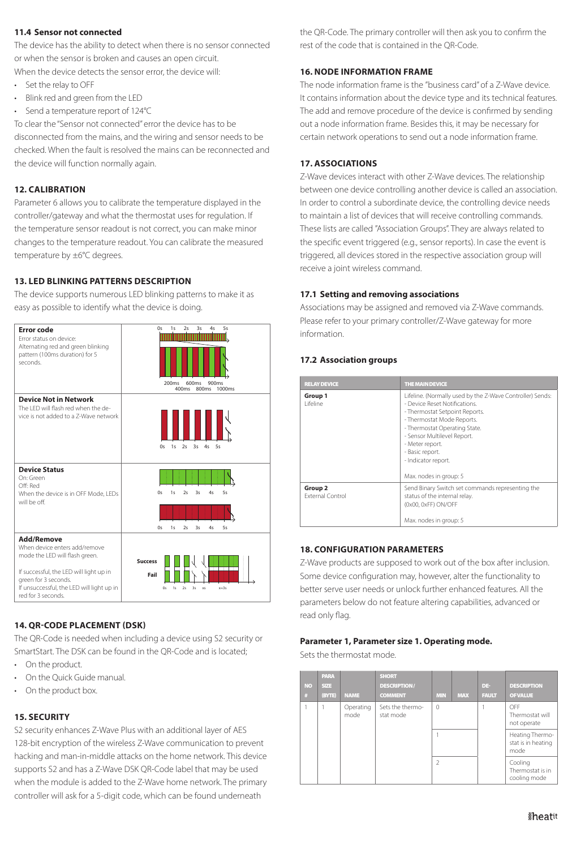#### **11.4 Sensor not connected**

The device has the ability to detect when there is no sensor connected or when the sensor is broken and causes an open circuit.

When the device detects the sensor error, the device will:

- Set the relay to OFF
- Blink red and green from the LED
- Send a temperature report of 124°C

To clear the "Sensor not connected" error the device has to be disconnected from the mains, and the wiring and sensor needs to be checked. When the fault is resolved the mains can be reconnected and the device will function normally again.

#### **12. CALIBRATION**

Parameter 6 allows you to calibrate the temperature displayed in the controller/gateway and what the thermostat uses for regulation. If the temperature sensor readout is not correct, you can make minor changes to the temperature readout. You can calibrate the measured temperature by ±6°C degrees.

#### **13. LED BLINKING PATTERNS DESCRIPTION**

The device supports numerous LED blinking patterns to make it as easy as possible to identify what the device is doing.



# **14. QR-CODE PLACEMENT (DSK)**

The QR-Code is needed when including a device using S2 security or SmartStart. The DSK can be found in the QR-Code and is located;

- On the product.
- On the Quick Guide manual.
- On the product box.

# **15. SECURITY**

S2 security enhances Z-Wave Plus with an additional layer of AES 128-bit encryption of the wireless Z-Wave communication to prevent hacking and man-in-middle attacks on the home network. This device supports S2 and has a Z-Wave DSK QR-Code label that may be used when the module is added to the Z-Wave home network. The primary controller will ask for a 5-digit code, which can be found underneath

the QR-Code. The primary controller will then ask you to confirm the rest of the code that is contained in the QR-Code.

#### **16. NODE INFORMATION FRAME**

The node information frame is the "business card" of a Z-Wave device. It contains information about the device type and its technical features. The add and remove procedure of the device is confirmed by sending out a node information frame. Besides this, it may be necessary for certain network operations to send out a node information frame.

#### **17. ASSOCIATIONS**

Z-Wave devices interact with other Z-Wave devices. The relationship between one device controlling another device is called an association. In order to control a subordinate device, the controlling device needs to maintain a list of devices that will receive controlling commands. These lists are called "Association Groups". They are always related to the specific event triggered (e.g., sensor reports). In case the event is triggered, all devices stored in the respective association group will receive a joint wireless command.

#### **17.1 Setting and removing associations**

Associations may be assigned and removed via Z-Wave commands. Please refer to your primary controller/Z-Wave gateway for more information.

#### **17.2 Association groups**

| <b>RELAY DEVICE</b>                           | THE MAIN DEVICE                                                                                                                                                                                                                                                                                                   |
|-----------------------------------------------|-------------------------------------------------------------------------------------------------------------------------------------------------------------------------------------------------------------------------------------------------------------------------------------------------------------------|
| Group 1<br>l ifeline                          | Lifeline. (Normally used by the Z-Wave Controller) Sends:<br>- Device Reset Notifications.<br>- Thermostat Setpoint Reports.<br>- Thermostat Mode Reports.<br>- Thermostat Operating State.<br>- Sensor Multilevel Report.<br>- Meter report.<br>- Basic report.<br>- Indicator report.<br>Max. nodes in group: 5 |
| Group <sub>2</sub><br><b>External Control</b> | Send Binary Switch set commands representing the<br>status of the internal relay.<br>(0x00, 0xFF) ON/OFF<br>Max. nodes in group: 5                                                                                                                                                                                |

# **18. CONFIGURATION PARAMETERS**

Z-Wave products are supposed to work out of the box after inclusion. Some device configuration may, however, alter the functionality to better serve user needs or unlock further enhanced features. All the parameters below do not feature altering capabilities, advanced or read only flag.

#### **Parameter 1, Parameter size 1. Operating mode.**

Sets the thermostat mode.

| <b>NO</b><br># | <b>PARA</b><br>SIZE<br>(BYTE) | <b>NAME</b>       | <b>SHORT</b><br><b>DESCRIPTION/</b><br><b>COMMENT</b> | <b>MIN</b>     | <b>MAX</b> | DE-<br><b>FAULT</b> | <b>DESCRIPTION</b><br><b>OF VALUE</b>         |
|----------------|-------------------------------|-------------------|-------------------------------------------------------|----------------|------------|---------------------|-----------------------------------------------|
|                |                               | Operating<br>mode | Sets the thermo-<br>stat mode                         | $\Omega$       |            |                     | OFF<br>Thermostat will<br>not operate         |
|                |                               |                   |                                                       |                |            |                     | Heating Thermo-<br>stat is in heating<br>mode |
|                |                               |                   |                                                       | $\mathfrak{D}$ |            |                     | Cooling<br>Thermostat is in<br>cooling mode   |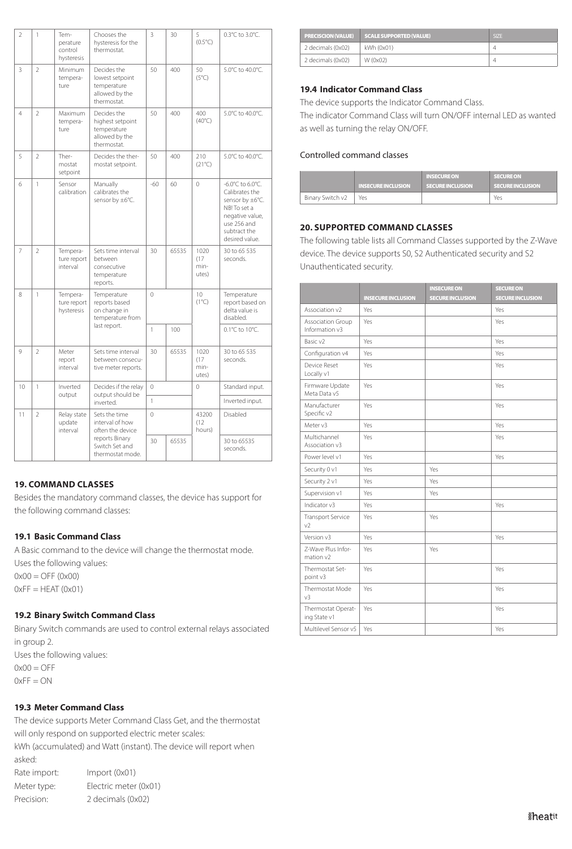| $\overline{2}$  | 1                                                                                                                         | Tem-<br>perature<br>control<br>hysteresis | Chooses the<br>hysteresis for the<br>thermostat.                                | 3            | 30                   | 5<br>$(0.5^{\circ}C)$                                         | 0.3°C to 3.0°C.                                                                                                                           |
|-----------------|---------------------------------------------------------------------------------------------------------------------------|-------------------------------------------|---------------------------------------------------------------------------------|--------------|----------------------|---------------------------------------------------------------|-------------------------------------------------------------------------------------------------------------------------------------------|
| 3               | $\overline{2}$                                                                                                            | Minimum<br>tempera-<br>ture               | Decides the<br>lowest setpoint<br>temperature<br>allowed by the<br>thermostat.  | 50           | 400                  | 50<br>$(5^{\circ}C)$                                          | 5.0°C to 40.0°C.                                                                                                                          |
| $\overline{4}$  | $\overline{2}$                                                                                                            | Maximum<br>tempera-<br>ture               | Decides the<br>highest setpoint<br>temperature<br>allowed by the<br>thermostat. | 50           | 400                  | 400<br>$(40^{\circ}C)$                                        | 5.0°C to 40.0°C.                                                                                                                          |
| 5               | $\mathfrak{D}$                                                                                                            | Ther-<br>mostat<br>setpoint               | Decides the ther-<br>mostat setpoint.                                           | 50           | 400                  | 210<br>$(21^{\circ}C)$                                        | 5.0°C to 40.0°C.                                                                                                                          |
| 6               | $\mathbf{1}$                                                                                                              | Sensor<br>calibration                     | Manually<br>calibrates the<br>sensor by ±6°C.                                   | $-60$        | 60                   | $\Omega$                                                      | -6.0°C to 6.0°C.<br>Calibrates the<br>sensor by ±6°C.<br>NB! To set a<br>negative value,<br>use 256 and<br>subtract the<br>desired value. |
| 7               | $\overline{2}$                                                                                                            | Tempera-<br>ture report<br>interval       | Sets time interval<br>between<br>consecutive<br>temperature<br>reports.         | 30           | 65535                | 1020<br>(17)<br>min-<br>utes)                                 | 30 to 65 535<br>seconds.                                                                                                                  |
| 8               | $\mathbf{1}$<br>Tempera-<br>Temperature<br>ture report<br>reports based<br>on change in<br>hysteresis<br>temperature from |                                           | $\Omega$                                                                        |              | 10<br>$(1^{\circ}C)$ | Temperature<br>report based on<br>delta value is<br>disabled. |                                                                                                                                           |
|                 |                                                                                                                           |                                           | last report.                                                                    | $\mathbf{1}$ | 100                  |                                                               | 0.1°C to 10°C.                                                                                                                            |
| 9               | $\mathcal{P}$                                                                                                             | Meter<br>report<br>interval               | Sets time interval<br>between consecu-<br>tive meter reports.                   | 30           | 65535                | 1020<br>(17)<br>min-<br>utes)                                 | 30 to 65 535<br>seconds.                                                                                                                  |
| 10 <sup>2</sup> | $\mathbf{1}$                                                                                                              | Inverted<br>output                        | Decides if the relay<br>output should be                                        | $\Omega$     |                      | 0                                                             | Standard input.                                                                                                                           |
|                 |                                                                                                                           |                                           | inverted.                                                                       | $\mathbf{1}$ |                      |                                                               | Inverted input.                                                                                                                           |
| 11              | $\overline{2}$                                                                                                            | Relay state<br>update<br>interval         | Sets the time<br>interval of how<br>often the device                            | $\mathbf 0$  |                      | 43200<br>(12)<br>hours)                                       | Disabled                                                                                                                                  |
|                 |                                                                                                                           |                                           | reports Binary<br>Switch Set and<br>thermostat mode.                            | 30           | 65535                |                                                               | 30 to 65535<br>seconds.                                                                                                                   |

#### **19. COMMAND CLASSES**

Besides the mandatory command classes, the device has support for the following command classes:

#### **19.1 Basic Command Class**

A Basic command to the device will change the thermostat mode. Uses the following values:  $0x00 =$  OFF  $(0x00)$  $0xFF = HEAT (0x01)$ 

#### **19.2 Binary Switch Command Class**

Binary Switch commands are used to control external relays associated in group 2. Uses the following values:  $0x00 = OFF$  $0xFF = ON$ 

#### **19.3 Meter Command Class**

The device supports Meter Command Class Get, and the thermostat will only respond on supported electric meter scales: kWh (accumulated) and Watt (instant). The device will report when asked: Rate import: Import (0x01) Meter type: Electric meter (0x01) Precision: 2 decimals (0x02)

|                   | <b>PRECISCION (VALUE) SCALE SUPPORTED (VALUE)</b> | SIZE <sup></sup> |
|-------------------|---------------------------------------------------|------------------|
| 2 decimals (0x02) | kWh (0x01)                                        |                  |
| 2 decimals (0x02) | W (0x02)                                          | Δ                |

#### **19.4 Indicator Command Class**

The device supports the Indicator Command Class.

The indicator Command Class will turn ON/OFF internal LED as wanted as well as turning the relay ON/OFF.

#### Controlled command classes

|                  | <b>INSECURE INCLUSION</b> | <b>INSECURE ON</b><br><b>SECURE INCLUSION</b> | <b>SECURE ON</b><br><b>SECURE INCLUSION</b> |
|------------------|---------------------------|-----------------------------------------------|---------------------------------------------|
| Binary Switch v2 | Yes                       |                                               | Yes                                         |

# **20. SUPPORTED COMMAND CLASSES**

The following table lists all Command Classes supported by the Z-Wave device. The device supports S0, S2 Authenticated security and S2 Unauthenticated security.

|                                            | <b>INSECURE INCLUSION</b> | <b>INSECURE ON</b><br><b>SECURE INCLUSION</b> | <b>SECURE ON</b><br><b>SECURE INCLUSION</b> |
|--------------------------------------------|---------------------------|-----------------------------------------------|---------------------------------------------|
| Association v2                             | Yes                       |                                               | Yes                                         |
| Association Group<br>Information v3        | Yes                       |                                               | Yes                                         |
| Basic v2                                   | Yes                       |                                               | Yes                                         |
| Configuration v4                           | Yes                       |                                               | Yes                                         |
| Device Reset<br>Locally v1                 | Yes                       |                                               | Yes                                         |
| Firmware Update<br>Meta Data v5            | Yes                       |                                               | Yes                                         |
| Manufacturer<br>Specific v2                | Yes                       |                                               | Yes                                         |
| Meter v3                                   | Yes                       |                                               | Yes                                         |
| Multichannel<br>Association v3             | Yes                       |                                               | Yes                                         |
| Power level v1                             | Yes                       |                                               | Yes                                         |
| Security 0 v1                              | Yes                       | Yes                                           |                                             |
| Security 2 v1                              | Yes                       | Yes                                           |                                             |
| Supervision v1                             | Yes                       | Yes                                           |                                             |
| Indicator v3                               | Yes                       |                                               | Yes                                         |
| <b>Transport Service</b><br>V <sub>2</sub> | Yes                       | Yes                                           |                                             |
| Version v3                                 | Yes                       |                                               | Yes                                         |
| 7-Wave Plus Infor-<br>mation v2            | Yes                       | Yes                                           |                                             |
| Thermostat Set-<br>point v3                | Yes                       |                                               | Yes                                         |
| Thermostat Mode<br>v <sup>3</sup>          | Yes                       |                                               | Yes                                         |
| Thermostat Operat-<br>ing State v1         | Yes                       |                                               | Yes                                         |
| Multilevel Sensor v5                       | Yes                       |                                               | Yes                                         |